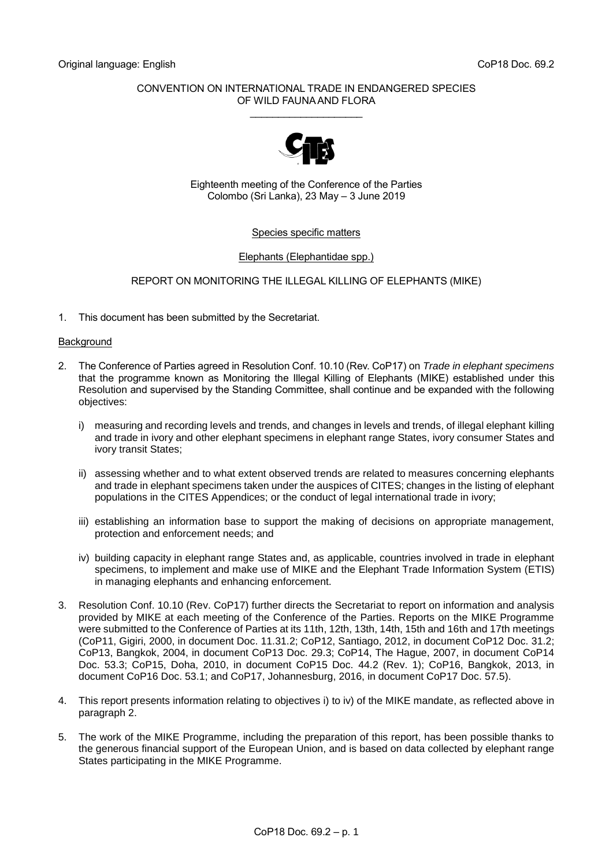## CONVENTION ON INTERNATIONAL TRADE IN ENDANGERED SPECIES OF WILD FAUNA AND FLORA

\_\_\_\_\_\_\_\_\_\_\_\_\_\_\_\_\_\_\_\_



Eighteenth meeting of the Conference of the Parties Colombo (Sri Lanka), 23 May – 3 June 2019

## Species specific matters

## Elephants (Elephantidae spp.)

## REPORT ON MONITORING THE ILLEGAL KILLING OF ELEPHANTS (MIKE)

1. This document has been submitted by the Secretariat.

### **Background**

- 2. The Conference of Parties agreed in Resolution Conf. 10.10 (Rev. CoP17) on *Trade in elephant specimens* that the programme known as Monitoring the Illegal Killing of Elephants (MIKE) established under this Resolution and supervised by the Standing Committee, shall continue and be expanded with the following objectives:
	- i) measuring and recording levels and trends, and changes in levels and trends, of illegal elephant killing and trade in ivory and other elephant specimens in elephant range States, ivory consumer States and ivory transit States;
	- ii) assessing whether and to what extent observed trends are related to measures concerning elephants and trade in elephant specimens taken under the auspices of CITES; changes in the listing of elephant populations in the CITES Appendices; or the conduct of legal international trade in ivory;
	- iii) establishing an information base to support the making of decisions on appropriate management, protection and enforcement needs; and
	- iv) building capacity in elephant range States and, as applicable, countries involved in trade in elephant specimens, to implement and make use of MIKE and the Elephant Trade Information System (ETIS) in managing elephants and enhancing enforcement.
- 3. Resolution Conf. 10.10 (Rev. CoP17) further directs the Secretariat to report on information and analysis provided by MIKE at each meeting of the Conference of the Parties. Reports on the MIKE Programme were submitted to the Conference of Parties at its 11th, 12th, 13th, 14th, 15th and 16th and 17th meetings (CoP11, Gigiri, 2000, in document Doc. 11.31.2; CoP12, Santiago, 2012, in document CoP12 Doc. 31.2; CoP13, Bangkok, 2004, in document CoP13 Doc. 29.3; CoP14, The Hague, 2007, in document CoP14 Doc. 53.3; CoP15, Doha, 2010, in document CoP15 Doc. 44.2 (Rev. 1); CoP16, Bangkok, 2013, in document CoP16 Doc. 53.1; and CoP17, Johannesburg, 2016, in document CoP17 Doc. 57.5).
- 4. This report presents information relating to objectives i) to iv) of the MIKE mandate, as reflected above in paragraph 2.
- 5. The work of the MIKE Programme, including the preparation of this report, has been possible thanks to the generous financial support of the European Union, and is based on data collected by elephant range States participating in the MIKE Programme.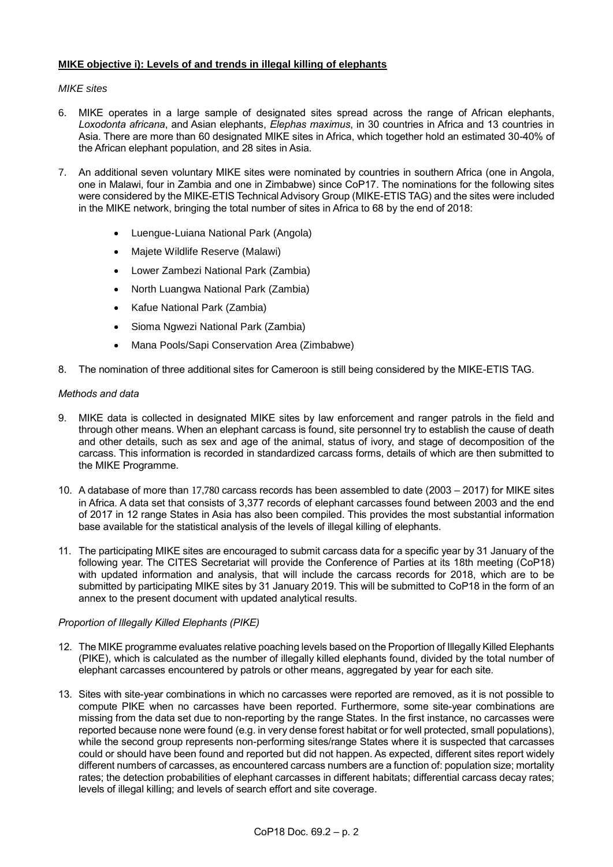# **MIKE objective i): Levels of and trends in illegal killing of elephants**

# *MIKE sites*

- 6. MIKE operates in a large sample of designated sites spread across the range of African elephants, *Loxodonta africana*, and Asian elephants, *Elephas maximus*, in 30 countries in Africa and 13 countries in Asia. There are more than 60 designated MIKE sites in Africa, which together hold an estimated 30-40% of the African elephant population, and 28 sites in Asia.
- 7. An additional seven voluntary MIKE sites were nominated by countries in southern Africa (one in Angola, one in Malawi, four in Zambia and one in Zimbabwe) since CoP17. The nominations for the following sites were considered by the MIKE-ETIS Technical Advisory Group (MIKE-ETIS TAG) and the sites were included in the MIKE network, bringing the total number of sites in Africa to 68 by the end of 2018:
	- Luengue-Luiana National Park (Angola)
	- Majete Wildlife Reserve (Malawi)
	- Lower Zambezi National Park (Zambia)
	- North Luangwa National Park (Zambia)
	- Kafue National Park (Zambia)
	- Sioma Ngwezi National Park (Zambia)
	- Mana Pools/Sapi Conservation Area (Zimbabwe)
- 8. The nomination of three additional sites for Cameroon is still being considered by the MIKE-ETIS TAG.

## *Methods and data*

- 9. MIKE data is collected in designated MIKE sites by law enforcement and ranger patrols in the field and through other means. When an elephant carcass is found, site personnel try to establish the cause of death and other details, such as sex and age of the animal, status of ivory, and stage of decomposition of the carcass. This information is recorded in standardized carcass forms, details of which are then submitted to the MIKE Programme.
- 10. A database of more than 17,780 carcass records has been assembled to date (2003 2017) for MIKE sites in Africa. A data set that consists of 3,377 records of elephant carcasses found between 2003 and the end of 2017 in 12 range States in Asia has also been compiled. This provides the most substantial information base available for the statistical analysis of the levels of illegal killing of elephants.
- 11. The participating MIKE sites are encouraged to submit carcass data for a specific year by 31 January of the following year. The CITES Secretariat will provide the Conference of Parties at its 18th meeting (CoP18) with updated information and analysis, that will include the carcass records for 2018, which are to be submitted by participating MIKE sites by 31 January 2019. This will be submitted to CoP18 in the form of an annex to the present document with updated analytical results.

# *Proportion of Illegally Killed Elephants (PIKE)*

- 12. The MIKE programme evaluates relative poaching levels based on the Proportion of Illegally Killed Elephants (PIKE), which is calculated as the number of illegally killed elephants found, divided by the total number of elephant carcasses encountered by patrols or other means, aggregated by year for each site.
- 13. Sites with site-year combinations in which no carcasses were reported are removed, as it is not possible to compute PIKE when no carcasses have been reported. Furthermore, some site-year combinations are missing from the data set due to non-reporting by the range States. In the first instance, no carcasses were reported because none were found (e.g. in very dense forest habitat or for well protected, small populations), while the second group represents non-performing sites/range States where it is suspected that carcasses could or should have been found and reported but did not happen. As expected, different sites report widely different numbers of carcasses, as encountered carcass numbers are a function of: population size; mortality rates; the detection probabilities of elephant carcasses in different habitats; differential carcass decay rates; levels of illegal killing; and levels of search effort and site coverage.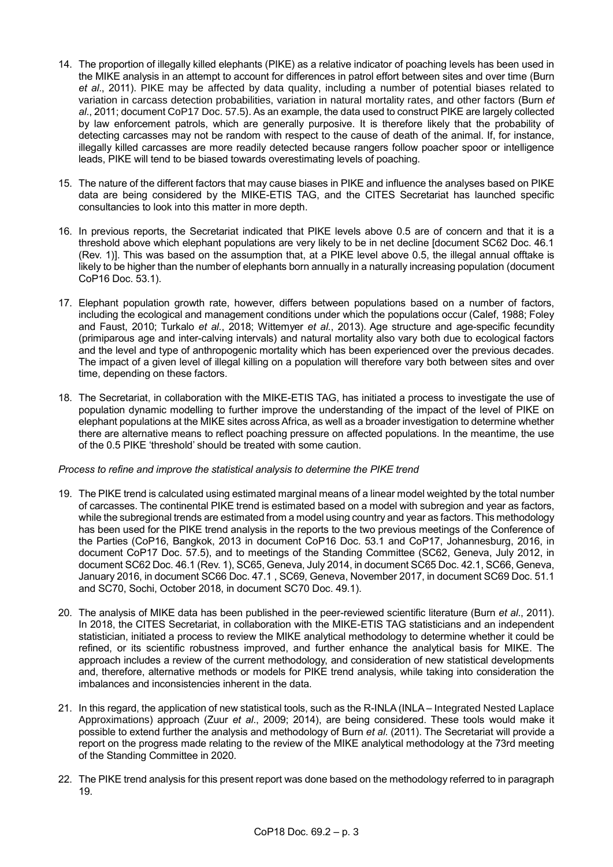- 14. The proportion of illegally killed elephants (PIKE) as a relative indicator of poaching levels has been used in the MIKE analysis in an attempt to account for differences in patrol effort between sites and over time (Burn *et al*., 2011). PIKE may be affected by data quality, including a number of potential biases related to variation in carcass detection probabilities, variation in natural mortality rates, and other factors (Burn *et al*., 2011; document CoP17 Doc. 57.5). As an example, the data used to construct PIKE are largely collected by law enforcement patrols, which are generally purposive. It is therefore likely that the probability of detecting carcasses may not be random with respect to the cause of death of the animal. If, for instance, illegally killed carcasses are more readily detected because rangers follow poacher spoor or intelligence leads, PIKE will tend to be biased towards overestimating levels of poaching.
- 15. The nature of the different factors that may cause biases in PIKE and influence the analyses based on PIKE data are being considered by the MIKE-ETIS TAG, and the CITES Secretariat has launched specific consultancies to look into this matter in more depth.
- 16. In previous reports, the Secretariat indicated that PIKE levels above 0.5 are of concern and that it is a threshold above which elephant populations are very likely to be in net decline [document SC62 Doc. 46.1 (Rev. 1)]. This was based on the assumption that, at a PIKE level above 0.5, the illegal annual offtake is likely to be higher than the number of elephants born annually in a naturally increasing population (document CoP16 Doc. 53.1).
- 17. Elephant population growth rate, however, differs between populations based on a number of factors, including the ecological and management conditions under which the populations occur (Calef, 1988; Foley and Faust, 2010; Turkalo *et al.*, 2018; Wittemyer *et al.*, 2013). Age structure and age-specific fecundity (primiparous age and inter-calving intervals) and natural mortality also vary both due to ecological factors and the level and type of anthropogenic mortality which has been experienced over the previous decades. The impact of a given level of illegal killing on a population will therefore vary both between sites and over time, depending on these factors.
- 18. The Secretariat, in collaboration with the MIKE-ETIS TAG, has initiated a process to investigate the use of population dynamic modelling to further improve the understanding of the impact of the level of PIKE on elephant populations at the MIKE sites across Africa, as well as a broader investigation to determine whether there are alternative means to reflect poaching pressure on affected populations. In the meantime, the use of the 0.5 PIKE 'threshold' should be treated with some caution.

# *Process to refine and improve the statistical analysis to determine the PIKE trend*

- 19. The PIKE trend is calculated using estimated marginal means of a linear model weighted by the total number of carcasses. The continental PIKE trend is estimated based on a model with subregion and year as factors, while the subregional trends are estimated from a model using country and year as factors. This methodology has been used for the PIKE trend analysis in the reports to the two previous meetings of the Conference of the Parties (CoP16, Bangkok, 2013 in document CoP16 Doc. 53.1 and CoP17, Johannesburg, 2016, in document CoP17 Doc. 57.5), and to meetings of the Standing Committee (SC62, Geneva, July 2012, in document SC62 Doc. 46.1 (Rev. 1), SC65, Geneva, July 2014, in document SC65 Doc. 42.1, SC66, Geneva, January 2016, in document SC66 Doc. 47.1 , SC69, Geneva, November 2017, in document SC69 Doc. 51.1 and SC70, Sochi, October 2018, in document SC70 Doc. 49.1).
- 20. The analysis of MIKE data has been published in the peer-reviewed scientific literature (Burn *et al*., 2011). In 2018, the CITES Secretariat, in collaboration with the MIKE-ETIS TAG statisticians and an independent statistician, initiated a process to review the MIKE analytical methodology to determine whether it could be refined, or its scientific robustness improved, and further enhance the analytical basis for MIKE. The approach includes a review of the current methodology, and consideration of new statistical developments and, therefore, alternative methods or models for PIKE trend analysis, while taking into consideration the imbalances and inconsistencies inherent in the data.
- 21. In this regard, the application of new statistical tools, such as the R-INLA (INLA Integrated Nested Laplace Approximations) approach (Zuur *et al*., 2009; 2014), are being considered. These tools would make it possible to extend further the analysis and methodology of Burn *et al*. (2011). The Secretariat will provide a report on the progress made relating to the review of the MIKE analytical methodology at the 73rd meeting of the Standing Committee in 2020.
- 22. The PIKE trend analysis for this present report was done based on the methodology referred to in paragraph 19.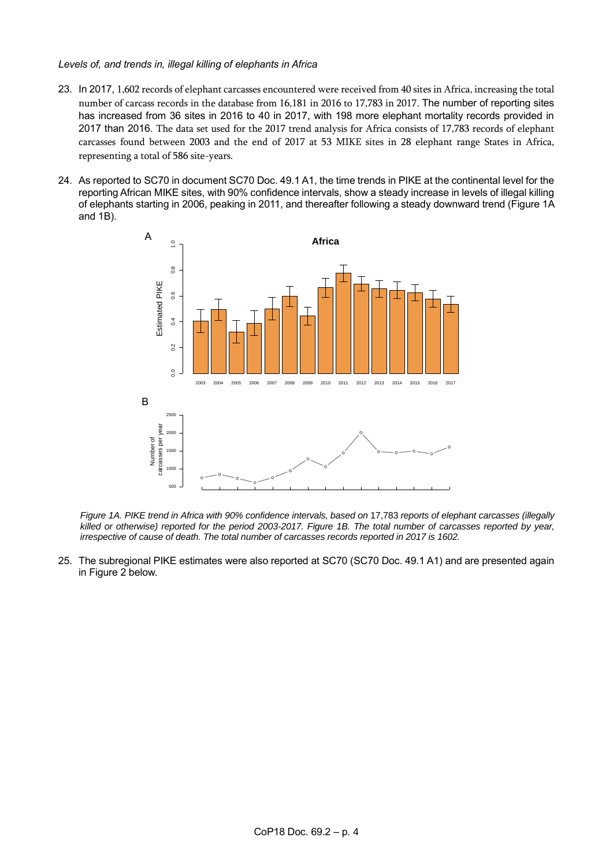## *Levels of, and trends in, illegal killing of elephants in Africa*

- 23. In 2017, 1,602 records of elephant carcasses encountered were received from 40 sites in Africa, increasing the total number of carcass records in the database from 16,181 in 2016 to 17,783 in 2017. The number of reporting sites has increased from 36 sites in 2016 to 40 in 2017, with 198 more elephant mortality records provided in 2017 than 2016. The data set used for the 2017 trend analysis for Africa consists of 17,783 records of elephant carcasses found between 2003 and the end of 2017 at 53 MIKE sites in 28 elephant range States in Africa, representing a total of 586 site-years.
- 24. As reported to SC70 in document SC70 Doc. 49.1 A1, the time trends in PIKE at the continental level for the reporting African MIKE sites, with 90% confidence intervals, show a steady increase in levels of illegal killing of elephants starting in 2006, peaking in 2011, and thereafter following a steady downward trend (Figure 1A and 1B).



*Figure 1A. PIKE trend in Africa with 90% confidence intervals, based on 17,783 reports of elephant carcasses (illegally killed or otherwise) reported for the period 2003-2017. Figure 1B. The total number of carcasses reported by year, irrespective of cause of death. The total number of carcasses records reported in 2017 is 1602.* 

25. The subregional PIKE estimates were also reported at SC70 (SC70 Doc. 49.1 A1) and are presented again in Figure 2 below.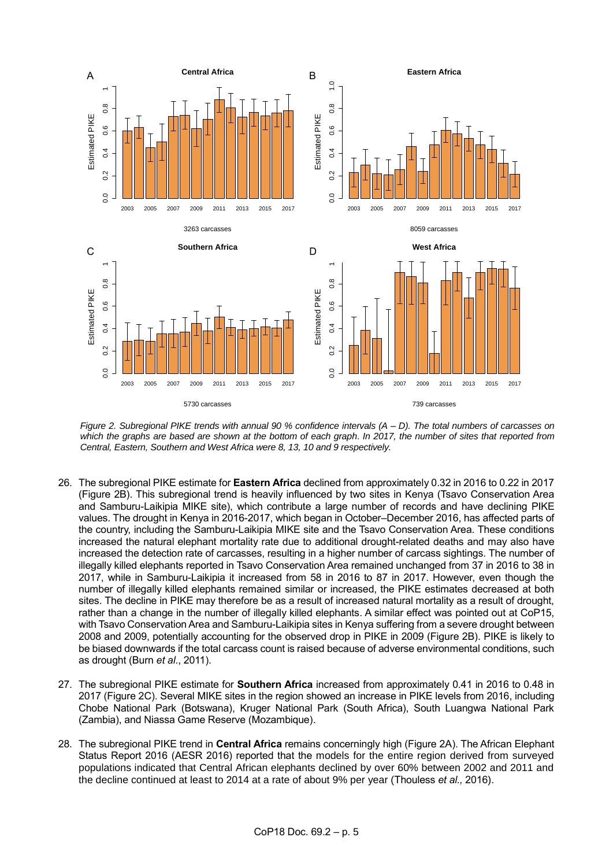

*Figure 2. Subregional PIKE trends with annual 90 % confidence intervals (A – D). The total numbers of carcasses on which the graphs are based are shown at the bottom of each graph*. *In 2017, the number of sites that reported from Central, Eastern, Southern and West Africa were 8, 13, 10 and 9 respectively.*

- 26. The subregional PIKE estimate for **Eastern Africa** declined from approximately 0.32 in 2016 to 0.22 in 2017 (Figure 2B). This subregional trend is heavily influenced by two sites in Kenya (Tsavo Conservation Area and Samburu-Laikipia MIKE site), which contribute a large number of records and have declining PIKE values. The drought in Kenya in 2016-2017, which began in October–December 2016, has affected parts of the country, including the Samburu-Laikipia MIKE site and the Tsavo Conservation Area. These conditions increased the natural elephant mortality rate due to additional drought-related deaths and may also have increased the detection rate of carcasses, resulting in a higher number of carcass sightings. The number of illegally killed elephants reported in Tsavo Conservation Area remained unchanged from 37 in 2016 to 38 in 2017, while in Samburu-Laikipia it increased from 58 in 2016 to 87 in 2017. However, even though the number of illegally killed elephants remained similar or increased, the PIKE estimates decreased at both sites. The decline in PIKE may therefore be as a result of increased natural mortality as a result of drought, rather than a change in the number of illegally killed elephants. A similar effect was pointed out at CoP15, with Tsavo Conservation Area and Samburu-Laikipia sites in Kenya suffering from a severe drought between 2008 and 2009, potentially accounting for the observed drop in PIKE in 2009 (Figure 2B). PIKE is likely to be biased downwards if the total carcass count is raised because of adverse environmental conditions, such as drought (Burn *et al*., 2011).
- 27. The subregional PIKE estimate for **Southern Africa** increased from approximately 0.41 in 2016 to 0.48 in 2017 (Figure 2C). Several MIKE sites in the region showed an increase in PIKE levels from 2016, including Chobe National Park (Botswana), Kruger National Park (South Africa), South Luangwa National Park (Zambia), and Niassa Game Reserve (Mozambique).
- 28. The subregional PIKE trend in **Central Africa** remains concerningly high (Figure 2A). The African Elephant Status Report 2016 (AESR 2016) reported that the models for the entire region derived from surveyed populations indicated that Central African elephants declined by over 60% between 2002 and 2011 and the decline continued at least to 2014 at a rate of about 9% per year (Thouless *et al.,* 2016).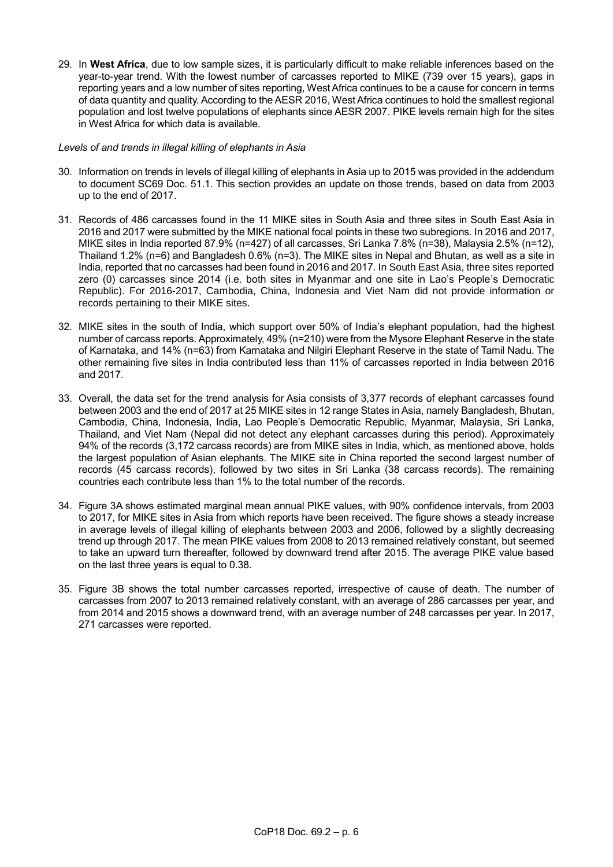29. In **West Africa**, due to low sample sizes, it is particularly difficult to make reliable inferences based on the year-to-year trend. With the lowest number of carcasses reported to MIKE (739 over 15 years), gaps in reporting years and a low number of sites reporting, West Africa continues to be a cause for concern in terms of data quantity and quality. According to the AESR 2016, West Africa continues to hold the smallest regional population and lost twelve populations of elephants since AESR 2007. PIKE levels remain high for the sites in West Africa for which data is available.

### *Levels of and trends in illegal killing of elephants in Asia*

- 30. Information on trends in levels of illegal killing of elephants in Asia up to 2015 was provided in the addendum to document SC69 Doc. 51.1. This section provides an update on those trends, based on data from 2003 up to the end of 2017.
- 31. Records of 486 carcasses found in the 11 MIKE sites in South Asia and three sites in South East Asia in 2016 and 2017 were submitted by the MIKE national focal points in these two subregions. In 2016 and 2017, MIKE sites in India reported 87.9% (n=427) of all carcasses, Sri Lanka 7.8% (n=38), Malaysia 2.5% (n=12), Thailand 1.2% (n=6) and Bangladesh 0.6% (n=3). The MIKE sites in Nepal and Bhutan, as well as a site in India, reported that no carcasses had been found in 2016 and 2017. In South East Asia, three sites reported zero (0) carcasses since 2014 (i.e. both sites in Myanmar and one site in Lao's People's Democratic Republic). For 2016-2017, Cambodia, China, Indonesia and Viet Nam did not provide information or records pertaining to their MIKE sites.
- 32. MIKE sites in the south of India, which support over 50% of India's elephant population, had the highest number of carcass reports. Approximately, 49% (n=210) were from the Mysore Elephant Reserve in the state of Karnataka, and 14% (n=63) from Karnataka and Nilgiri Elephant Reserve in the state of Tamil Nadu. The other remaining five sites in India contributed less than 11% of carcasses reported in India between 2016 and 2017.
- 33. Overall, the data set for the trend analysis for Asia consists of 3,377 records of elephant carcasses found between 2003 and the end of 2017 at 25 MIKE sites in 12 range States in Asia, namely Bangladesh, Bhutan, Cambodia, China, Indonesia, India, Lao People's Democratic Republic, Myanmar, Malaysia, Sri Lanka, Thailand, and Viet Nam (Nepal did not detect any elephant carcasses during this period). Approximately 94% of the records (3,172 carcass records) are from MIKE sites in India, which, as mentioned above, holds the largest population of Asian elephants. The MIKE site in China reported the second largest number of records (45 carcass records), followed by two sites in Sri Lanka (38 carcass records). The remaining countries each contribute less than 1% to the total number of the records.
- 34. Figure 3A shows estimated marginal mean annual PIKE values, with 90% confidence intervals, from 2003 to 2017, for MIKE sites in Asia from which reports have been received. The figure shows a steady increase in average levels of illegal killing of elephants between 2003 and 2006, followed by a slightly decreasing trend up through 2017. The mean PIKE values from 2008 to 2013 remained relatively constant, but seemed to take an upward turn thereafter, followed by downward trend after 2015. The average PIKE value based on the last three years is equal to 0.38.
- 35. Figure 3B shows the total number carcasses reported, irrespective of cause of death. The number of carcasses from 2007 to 2013 remained relatively constant, with an average of 286 carcasses per year, and from 2014 and 2015 shows a downward trend, with an average number of 248 carcasses per year. In 2017, 271 carcasses were reported.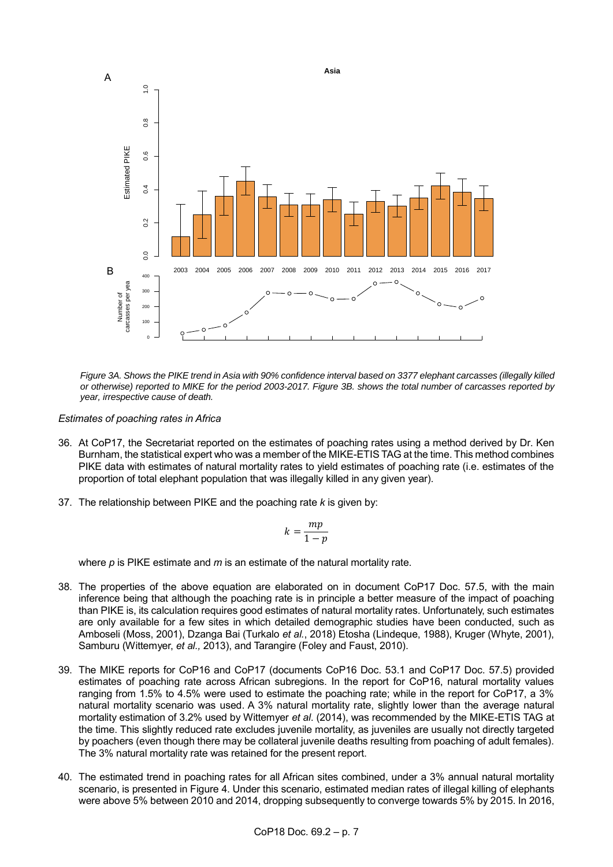

*Figure 3A. Shows the PIKE trend in Asia with 90% confidence interval based on 3377 elephant carcasses (illegally killed or otherwise) reported to MIKE for the period 2003-2017. Figure 3B. shows the total number of carcasses reported by year, irrespective cause of death.* 

*Estimates of poaching rates in Africa*

- 36. At CoP17, the Secretariat reported on the estimates of poaching rates using a method derived by Dr. Ken Burnham, the statistical expert who was a member of the MIKE-ETIS TAG at the time. This method combines PIKE data with estimates of natural mortality rates to yield estimates of poaching rate (i.e. estimates of the proportion of total elephant population that was illegally killed in any given year).
- 37. The relationship between PIKE and the poaching rate *k* is given by:

$$
k = \frac{mp}{1-p}
$$

where *p* is PIKE estimate and *m* is an estimate of the natural mortality rate.

- 38. The properties of the above equation are elaborated on in document CoP17 Doc. 57.5, with the main inference being that although the poaching rate is in principle a better measure of the impact of poaching than PIKE is, its calculation requires good estimates of natural mortality rates. Unfortunately, such estimates are only available for a few sites in which detailed demographic studies have been conducted, such as Amboseli (Moss, 2001), Dzanga Bai (Turkalo *et al.*, 2018) Etosha (Lindeque, 1988), Kruger (Whyte, 2001), Samburu (Wittemyer, *et al.,* 2013), and Tarangire (Foley and Faust, 2010).
- 39. The MIKE reports for CoP16 and CoP17 (documents CoP16 Doc. 53.1 and CoP17 Doc. 57.5) provided estimates of poaching rate across African subregions. In the report for CoP16, natural mortality values ranging from 1.5% to 4.5% were used to estimate the poaching rate; while in the report for CoP17, a 3% natural mortality scenario was used. A 3% natural mortality rate, slightly lower than the average natural mortality estimation of 3.2% used by Wittemyer *et al*. (2014), was recommended by the MIKE-ETIS TAG at the time. This slightly reduced rate excludes juvenile mortality, as juveniles are usually not directly targeted by poachers (even though there may be collateral juvenile deaths resulting from poaching of adult females). The 3% natural mortality rate was retained for the present report.
- 40. The estimated trend in poaching rates for all African sites combined, under a 3% annual natural mortality scenario, is presented in Figure 4. Under this scenario, estimated median rates of illegal killing of elephants were above 5% between 2010 and 2014, dropping subsequently to converge towards 5% by 2015. In 2016,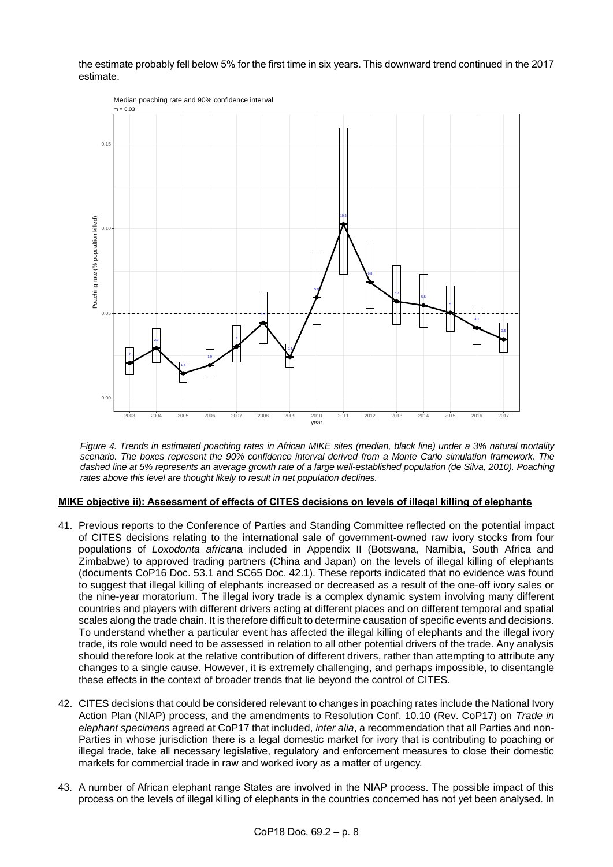the estimate probably fell below 5% for the first time in six years. This downward trend continued in the 2017 estimate.



*Figure 4. Trends in estimated poaching rates in African MIKE sites (median, black line) under a 3% natural mortality scenario. The boxes represent the 90% confidence interval derived from a Monte Carlo simulation framework. The dashed line at 5% represents an average growth rate of a large well-established population (de Silva, 2010). Poaching rates above this level are thought likely to result in net population declines.*

# **MIKE objective ii): Assessment of effects of CITES decisions on levels of illegal killing of elephants**

- 41. Previous reports to the Conference of Parties and Standing Committee reflected on the potential impact of CITES decisions relating to the international sale of government-owned raw ivory stocks from four populations of *Loxodonta african*a included in Appendix II (Botswana, Namibia, South Africa and Zimbabwe) to approved trading partners (China and Japan) on the levels of illegal killing of elephants (documents CoP16 Doc. 53.1 and SC65 Doc. 42.1). These reports indicated that no evidence was found to suggest that illegal killing of elephants increased or decreased as a result of the one-off ivory sales or the nine-year moratorium. The illegal ivory trade is a complex dynamic system involving many different countries and players with different drivers acting at different places and on different temporal and spatial scales along the trade chain. It is therefore difficult to determine causation of specific events and decisions. To understand whether a particular event has affected the illegal killing of elephants and the illegal ivory trade, its role would need to be assessed in relation to all other potential drivers of the trade. Any analysis should therefore look at the relative contribution of different drivers, rather than attempting to attribute any changes to a single cause. However, it is extremely challenging, and perhaps impossible, to disentangle these effects in the context of broader trends that lie beyond the control of CITES.
- 42. CITES decisions that could be considered relevant to changes in poaching rates include the National Ivory Action Plan (NIAP) process, and the amendments to Resolution Conf. 10.10 (Rev. CoP17) on *Trade in elephant specimens* agreed at CoP17 that included, *inter alia*, a recommendation that all Parties and non-Parties in whose jurisdiction there is a legal domestic market for ivory that is contributing to poaching or illegal trade, take all necessary legislative, regulatory and enforcement measures to close their domestic markets for commercial trade in raw and worked ivory as a matter of urgency.
- 43. A number of African elephant range States are involved in the NIAP process. The possible impact of this process on the levels of illegal killing of elephants in the countries concerned has not yet been analysed. In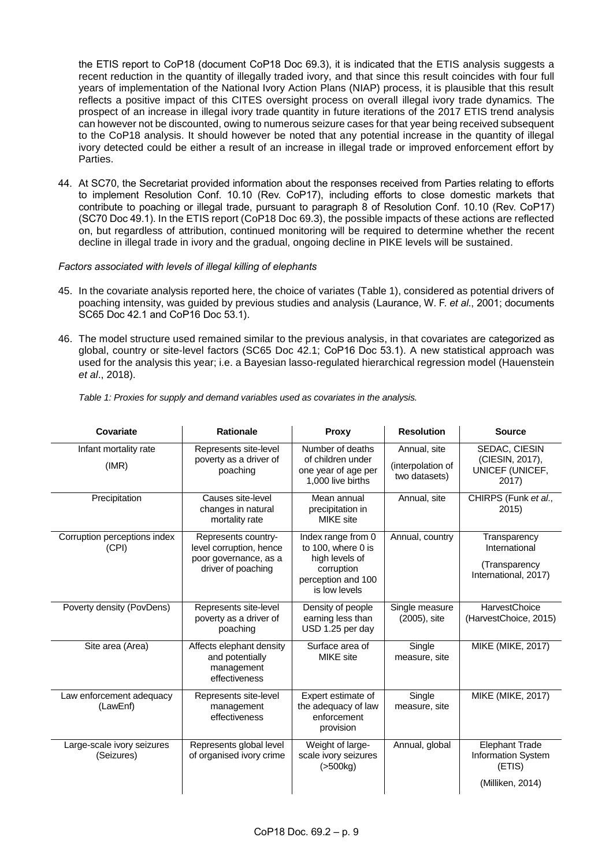the ETIS report to CoP18 (document CoP18 Doc 69.3), it is indicated that the ETIS analysis suggests a recent reduction in the quantity of illegally traded ivory, and that since this result coincides with four full years of implementation of the National Ivory Action Plans (NIAP) process, it is plausible that this result reflects a positive impact of this CITES oversight process on overall illegal ivory trade dynamics*.* The prospect of an increase in illegal ivory trade quantity in future iterations of the 2017 ETIS trend analysis can however not be discounted, owing to numerous seizure cases for that year being received subsequent to the CoP18 analysis. It should however be noted that any potential increase in the quantity of illegal ivory detected could be either a result of an increase in illegal trade or improved enforcement effort by Parties.

44. At SC70, the Secretariat provided information about the responses received from Parties relating to efforts to implement Resolution Conf. 10.10 (Rev. CoP17), including efforts to close domestic markets that contribute to poaching or illegal trade, pursuant to paragraph 8 of Resolution Conf. 10.10 (Rev. CoP17) (SC70 Doc 49.1). In the ETIS report (CoP18 Doc 69.3), the possible impacts of these actions are reflected on, but regardless of attribution, continued monitoring will be required to determine whether the recent decline in illegal trade in ivory and the gradual, ongoing decline in PIKE levels will be sustained.

## *Factors associated with levels of illegal killing of elephants*

- 45. In the covariate analysis reported here, the choice of variates (Table 1), considered as potential drivers of poaching intensity, was guided by previous studies and analysis (Laurance, W. F. *et al*., 2001; documents SC65 Doc 42.1 and CoP16 Doc 53.1).
- 46. The model structure used remained similar to the previous analysis, in that covariates are categorized as global, country or site-level factors (SC65 Doc 42.1; CoP16 Doc 53.1). A new statistical approach was used for the analysis this year; i.e. a Bayesian lasso-regulated hierarchical regression model (Hauenstein *et al*., 2018).

| Covariate                                | <b>Rationale</b>                                                                              | <b>Proxy</b>                                                                                                    | <b>Resolution</b>                                  | <b>Source</b>                                                             |
|------------------------------------------|-----------------------------------------------------------------------------------------------|-----------------------------------------------------------------------------------------------------------------|----------------------------------------------------|---------------------------------------------------------------------------|
| Infant mortality rate<br>(IMR)           | Represents site-level<br>poverty as a driver of<br>poaching                                   | Number of deaths<br>of children under<br>one year of age per<br>1,000 live births                               | Annual, site<br>(interpolation of<br>two datasets) | SEDAC, CIESIN<br>(CIESIN, 2017),<br>UNICEF (UNICEF,<br>2017)              |
| Precipitation                            | Causes site-level<br>changes in natural<br>mortality rate                                     | Mean annual<br>precipitation in<br><b>MIKE</b> site                                                             | Annual, site                                       | CHIRPS (Funk et al.,<br>2015                                              |
| Corruption perceptions index<br>(CPI)    | Represents country-<br>level corruption, hence<br>poor governance, as a<br>driver of poaching | Index range from 0<br>to 100, where 0 is<br>high levels of<br>corruption<br>perception and 100<br>is low levels | Annual, country                                    | Transparency<br>International<br>(Transparency<br>International, 2017)    |
| Poverty density (PovDens)                | Represents site-level<br>poverty as a driver of<br>poaching                                   | Density of people<br>earning less than<br>USD 1.25 per day                                                      | Single measure<br>(2005), site                     | HarvestChoice<br>(HarvestChoice, 2015)                                    |
| Site area (Area)                         | Affects elephant density<br>and potentially<br>management<br>effectiveness                    | Surface area of<br><b>MIKE</b> site                                                                             | Single<br>measure, site                            | <b>MIKE (MIKE, 2017)</b>                                                  |
| Law enforcement adequacy<br>(LawEnf)     | Represents site-level<br>management<br>effectiveness                                          | Expert estimate of<br>the adequacy of law<br>enforcement<br>provision                                           | Single<br>measure, site                            | <b>MIKE (MIKE, 2017)</b>                                                  |
| Large-scale ivory seizures<br>(Seizures) | Represents global level<br>of organised ivory crime                                           | Weight of large-<br>scale ivory seizures<br>(>500kg)                                                            | Annual, global                                     | <b>Elephant Trade</b><br>Information System<br>(ETIS)<br>(Milliken, 2014) |

*Table 1: Proxies for supply and demand variables used as covariates in the analysis.*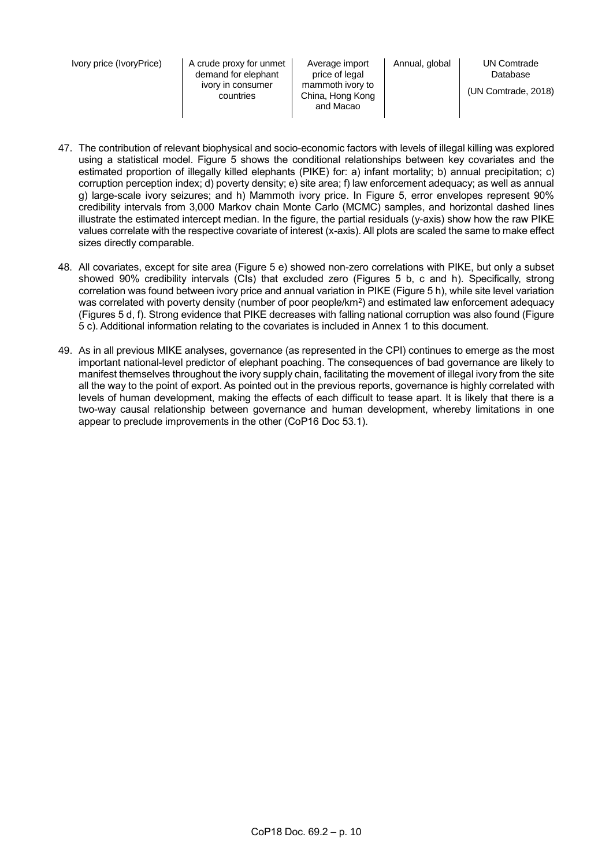Ivory price (IvoryPrice) | A crude proxy for unmet demand for elephant ivory in consumer countries

Average import price of legal mammoth ivory to China, Hong Kong and Macao

Database (UN Comtrade, 2018)

- 47. The contribution of relevant biophysical and socio-economic factors with levels of illegal killing was explored using a statistical model. Figure 5 shows the conditional relationships between key covariates and the estimated proportion of illegally killed elephants (PIKE) for: a) infant mortality; b) annual precipitation; c) corruption perception index; d) poverty density; e) site area; f) law enforcement adequacy; as well as annual g) large-scale ivory seizures; and h) Mammoth ivory price. In Figure 5, error envelopes represent 90% credibility intervals from 3,000 Markov chain Monte Carlo (MCMC) samples, and horizontal dashed lines illustrate the estimated intercept median. In the figure, the partial residuals (y-axis) show how the raw PIKE values correlate with the respective covariate of interest (x-axis). All plots are scaled the same to make effect sizes directly comparable.
- 48. All covariates, except for site area (Figure 5 e) showed non-zero correlations with PIKE, but only a subset showed 90% credibility intervals (CIs) that excluded zero (Figures 5 b, c and h). Specifically, strong correlation was found between ivory price and annual variation in PIKE (Figure 5 h), while site level variation was correlated with poverty density (number of poor people/km²) and estimated law enforcement adequacy (Figures 5 d, f). Strong evidence that PIKE decreases with falling national corruption was also found (Figure 5 c). Additional information relating to the covariates is included in Annex 1 to this document.
- 49. As in all previous MIKE analyses, governance (as represented in the CPI) continues to emerge as the most important national-level predictor of elephant poaching. The consequences of bad governance are likely to manifest themselves throughout the ivory supply chain, facilitating the movement of illegal ivory from the site all the way to the point of export. As pointed out in the previous reports, governance is highly correlated with levels of human development, making the effects of each difficult to tease apart. It is likely that there is a two-way causal relationship between governance and human development, whereby limitations in one appear to preclude improvements in the other (CoP16 Doc 53.1).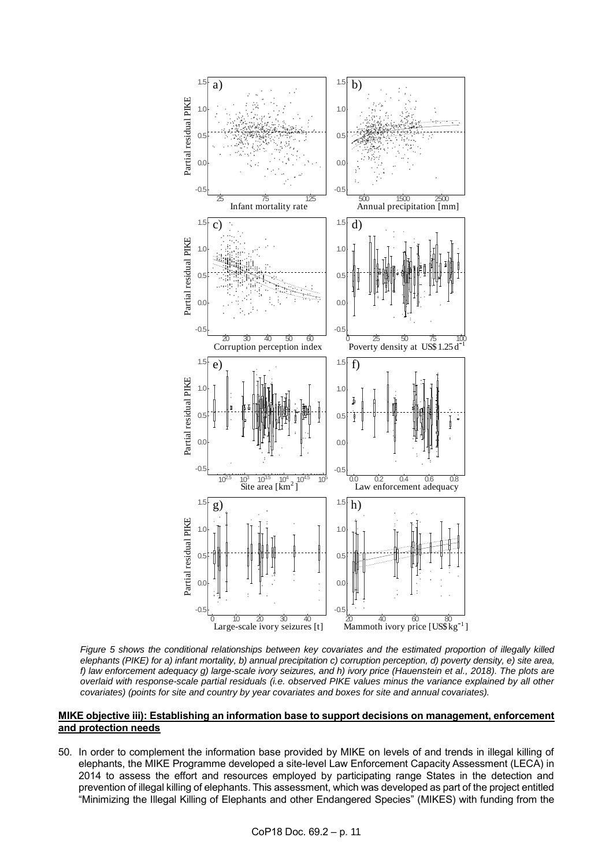

*Figure 5 shows the conditional relationships between key covariates and the estimated proportion of illegally killed elephants (PIKE) for a) infant mortality, b) annual precipitation c) corruption perception, d) poverty density, e) site area, f) law enforcement adequacy g) large-scale ivory seizures, and h) ivory price (Hauenstein et al., 2018). The plots are overlaid with response-scale partial residuals (i.e. observed PIKE values minus the variance explained by all other covariates) (points for site and country by year covariates and boxes for site and annual covariates).*

#### **MIKE objective iii): Establishing an information base to support decisions on management, enforcement and protection needs**

50. In order to complement the information base provided by MIKE on levels of and trends in illegal killing of elephants, the MIKE Programme developed a site-level Law Enforcement Capacity Assessment (LECA) in 2014 to assess the effort and resources employed by participating range States in the detection and prevention of illegal killing of elephants. This assessment, which was developed as part of the project entitled "Minimizing the Illegal Killing of Elephants and other Endangered Species" (MIKES) with funding from the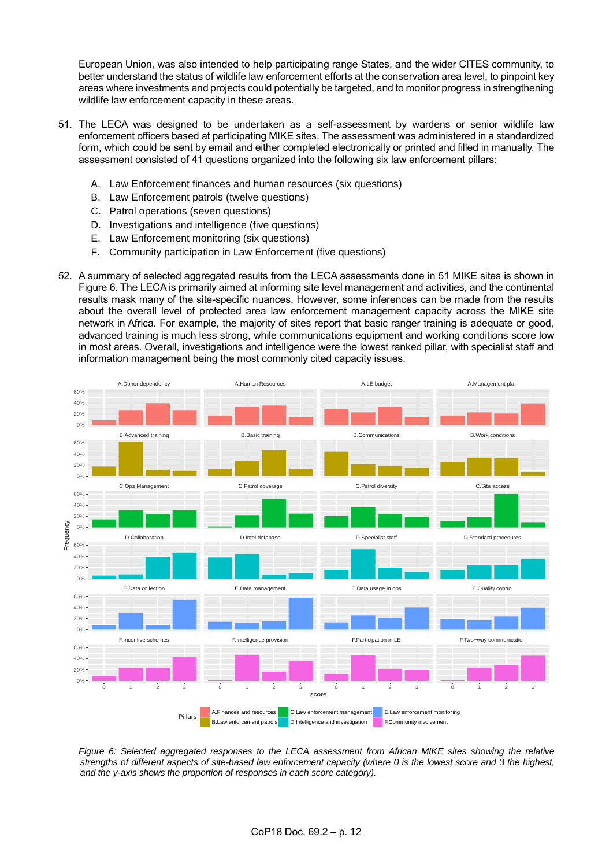European Union, was also intended to help participating range States, and the wider CITES community, to better understand the status of wildlife law enforcement efforts at the conservation area level, to pinpoint key areas where investments and projects could potentially be targeted, and to monitor progress in strengthening wildlife law enforcement capacity in these areas.

- 51. The LECA was designed to be undertaken as a self-assessment by wardens or senior wildlife law enforcement officers based at participating MIKE sites. The assessment was administered in a standardized form, which could be sent by email and either completed electronically or printed and filled in manually. The assessment consisted of 41 questions organized into the following six law enforcement pillars:
	- A. Law Enforcement finances and human resources (six questions)
	- B. Law Enforcement patrols (twelve questions)
	- C. Patrol operations (seven questions)
	- D. Investigations and intelligence (five questions)
	- E. Law Enforcement monitoring (six questions)
	- F. Community participation in Law Enforcement (five questions)
- 52. A summary of selected aggregated results from the LECA assessments done in 51 MIKE sites is shown in Figure 6. The LECA is primarily aimed at informing site level management and activities, and the continental results mask many of the site-specific nuances. However, some inferences can be made from the results about the overall level of protected area law enforcement management capacity across the MIKE site network in Africa. For example, the majority of sites report that basic ranger training is adequate or good, advanced training is much less strong, while communications equipment and working conditions score low in most areas. Overall, investigations and intelligence were the lowest ranked pillar, with specialist staff and information management being the most commonly cited capacity issues.



*Figure 6: Selected aggregated responses to the LECA assessment from African MIKE sites showing the relative strengths of different aspects of site-based law enforcement capacity (where 0 is the lowest score and 3 the highest, and the y-axis shows the proportion of responses in each score category).*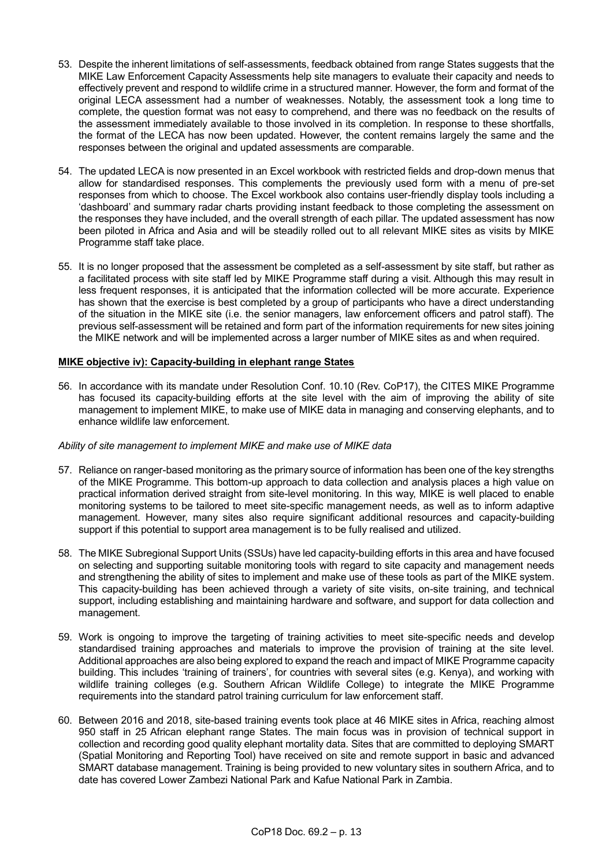- 53. Despite the inherent limitations of self-assessments, feedback obtained from range States suggests that the MIKE Law Enforcement Capacity Assessments help site managers to evaluate their capacity and needs to effectively prevent and respond to wildlife crime in a structured manner. However, the form and format of the original LECA assessment had a number of weaknesses. Notably, the assessment took a long time to complete, the question format was not easy to comprehend, and there was no feedback on the results of the assessment immediately available to those involved in its completion. In response to these shortfalls, the format of the LECA has now been updated. However, the content remains largely the same and the responses between the original and updated assessments are comparable.
- 54. The updated LECA is now presented in an Excel workbook with restricted fields and drop-down menus that allow for standardised responses. This complements the previously used form with a menu of pre-set responses from which to choose. The Excel workbook also contains user-friendly display tools including a 'dashboard' and summary radar charts providing instant feedback to those completing the assessment on the responses they have included, and the overall strength of each pillar. The updated assessment has now been piloted in Africa and Asia and will be steadily rolled out to all relevant MIKE sites as visits by MIKE Programme staff take place.
- 55. It is no longer proposed that the assessment be completed as a self-assessment by site staff, but rather as a facilitated process with site staff led by MIKE Programme staff during a visit. Although this may result in less frequent responses, it is anticipated that the information collected will be more accurate. Experience has shown that the exercise is best completed by a group of participants who have a direct understanding of the situation in the MIKE site (i.e. the senior managers, law enforcement officers and patrol staff). The previous self-assessment will be retained and form part of the information requirements for new sites joining the MIKE network and will be implemented across a larger number of MIKE sites as and when required.

## **MIKE objective iv): Capacity-building in elephant range States**

56. In accordance with its mandate under Resolution Conf. 10.10 (Rev. CoP17), the CITES MIKE Programme has focused its capacity-building efforts at the site level with the aim of improving the ability of site management to implement MIKE, to make use of MIKE data in managing and conserving elephants, and to enhance wildlife law enforcement.

# *Ability of site management to implement MIKE and make use of MIKE data*

- 57. Reliance on ranger-based monitoring as the primary source of information has been one of the key strengths of the MIKE Programme. This bottom-up approach to data collection and analysis places a high value on practical information derived straight from site-level monitoring. In this way, MIKE is well placed to enable monitoring systems to be tailored to meet site-specific management needs, as well as to inform adaptive management. However, many sites also require significant additional resources and capacity-building support if this potential to support area management is to be fully realised and utilized.
- 58. The MIKE Subregional Support Units (SSUs) have led capacity-building efforts in this area and have focused on selecting and supporting suitable monitoring tools with regard to site capacity and management needs and strengthening the ability of sites to implement and make use of these tools as part of the MIKE system. This capacity-building has been achieved through a variety of site visits, on-site training, and technical support, including establishing and maintaining hardware and software, and support for data collection and management.
- 59. Work is ongoing to improve the targeting of training activities to meet site-specific needs and develop standardised training approaches and materials to improve the provision of training at the site level. Additional approaches are also being explored to expand the reach and impact of MIKE Programme capacity building. This includes 'training of trainers', for countries with several sites (e.g. Kenya), and working with wildlife training colleges (e.g. Southern African Wildlife College) to integrate the MIKE Programme requirements into the standard patrol training curriculum for law enforcement staff.
- 60. Between 2016 and 2018, site-based training events took place at 46 MIKE sites in Africa, reaching almost 950 staff in 25 African elephant range States. The main focus was in provision of technical support in collection and recording good quality elephant mortality data. Sites that are committed to deploying SMART (Spatial Monitoring and Reporting Tool) have received on site and remote support in basic and advanced SMART database management. Training is being provided to new voluntary sites in southern Africa, and to date has covered Lower Zambezi National Park and Kafue National Park in Zambia.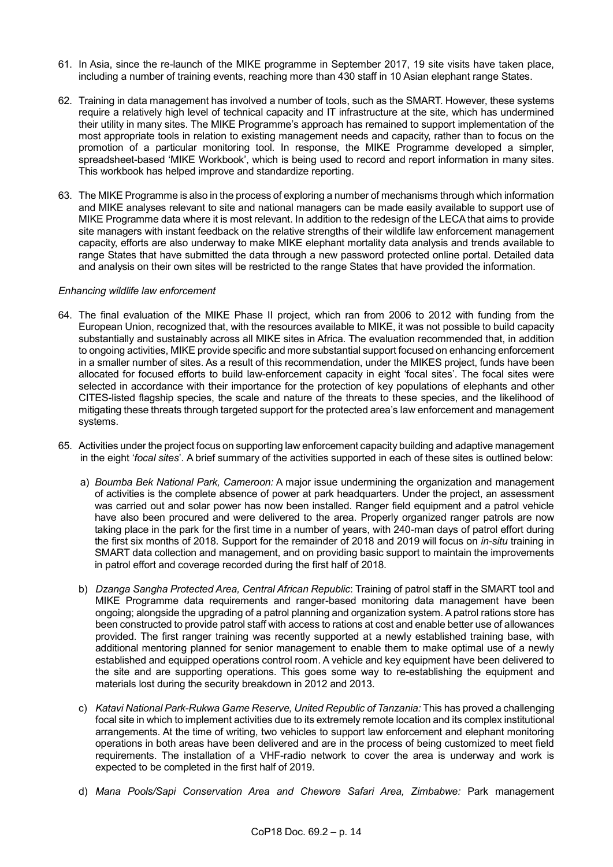- 61. In Asia, since the re-launch of the MIKE programme in September 2017, 19 site visits have taken place, including a number of training events, reaching more than 430 staff in 10 Asian elephant range States.
- 62. Training in data management has involved a number of tools, such as the SMART. However, these systems require a relatively high level of technical capacity and IT infrastructure at the site, which has undermined their utility in many sites. The MIKE Programme's approach has remained to support implementation of the most appropriate tools in relation to existing management needs and capacity, rather than to focus on the promotion of a particular monitoring tool. In response, the MIKE Programme developed a simpler, spreadsheet-based 'MIKE Workbook', which is being used to record and report information in many sites. This workbook has helped improve and standardize reporting.
- 63. The MIKE Programme is also in the process of exploring a number of mechanisms through which information and MIKE analyses relevant to site and national managers can be made easily available to support use of MIKE Programme data where it is most relevant. In addition to the redesign of the LECA that aims to provide site managers with instant feedback on the relative strengths of their wildlife law enforcement management capacity, efforts are also underway to make MIKE elephant mortality data analysis and trends available to range States that have submitted the data through a new password protected online portal. Detailed data and analysis on their own sites will be restricted to the range States that have provided the information.

## *Enhancing wildlife law enforcement*

- 64. The final evaluation of the MIKE Phase II project, which ran from 2006 to 2012 with funding from the European Union, recognized that, with the resources available to MIKE, it was not possible to build capacity substantially and sustainably across all MIKE sites in Africa. The evaluation recommended that, in addition to ongoing activities, MIKE provide specific and more substantial support focused on enhancing enforcement in a smaller number of sites. As a result of this recommendation, under the MIKES project, funds have been allocated for focused efforts to build law-enforcement capacity in eight 'focal sites'. The focal sites were selected in accordance with their importance for the protection of key populations of elephants and other CITES-listed flagship species, the scale and nature of the threats to these species, and the likelihood of mitigating these threats through targeted support for the protected area's law enforcement and management systems.
- 65. Activities under the project focus on supporting law enforcement capacity building and adaptive management in the eight '*focal sites*'. A brief summary of the activities supported in each of these sites is outlined below:
	- a) *Boumba Bek National Park, Cameroon:* A major issue undermining the organization and management of activities is the complete absence of power at park headquarters. Under the project, an assessment was carried out and solar power has now been installed. Ranger field equipment and a patrol vehicle have also been procured and were delivered to the area. Properly organized ranger patrols are now taking place in the park for the first time in a number of years, with 240-man days of patrol effort during the first six months of 2018. Support for the remainder of 2018 and 2019 will focus on *in-situ* training in SMART data collection and management, and on providing basic support to maintain the improvements in patrol effort and coverage recorded during the first half of 2018.
	- b) *Dzanga Sangha Protected Area, Central African Republic*: Training of patrol staff in the SMART tool and MIKE Programme data requirements and ranger-based monitoring data management have been ongoing; alongside the upgrading of a patrol planning and organization system. A patrol rations store has been constructed to provide patrol staff with access to rations at cost and enable better use of allowances provided. The first ranger training was recently supported at a newly established training base, with additional mentoring planned for senior management to enable them to make optimal use of a newly established and equipped operations control room. A vehicle and key equipment have been delivered to the site and are supporting operations. This goes some way to re-establishing the equipment and materials lost during the security breakdown in 2012 and 2013.
	- c) *Katavi National Park-Rukwa Game Reserve, United Republic of Tanzania:* This has proved a challenging focal site in which to implement activities due to its extremely remote location and its complex institutional arrangements. At the time of writing, two vehicles to support law enforcement and elephant monitoring operations in both areas have been delivered and are in the process of being customized to meet field requirements. The installation of a VHF-radio network to cover the area is underway and work is expected to be completed in the first half of 2019.
	- d) *Mana Pools/Sapi Conservation Area and Chewore Safari Area, Zimbabwe:* Park management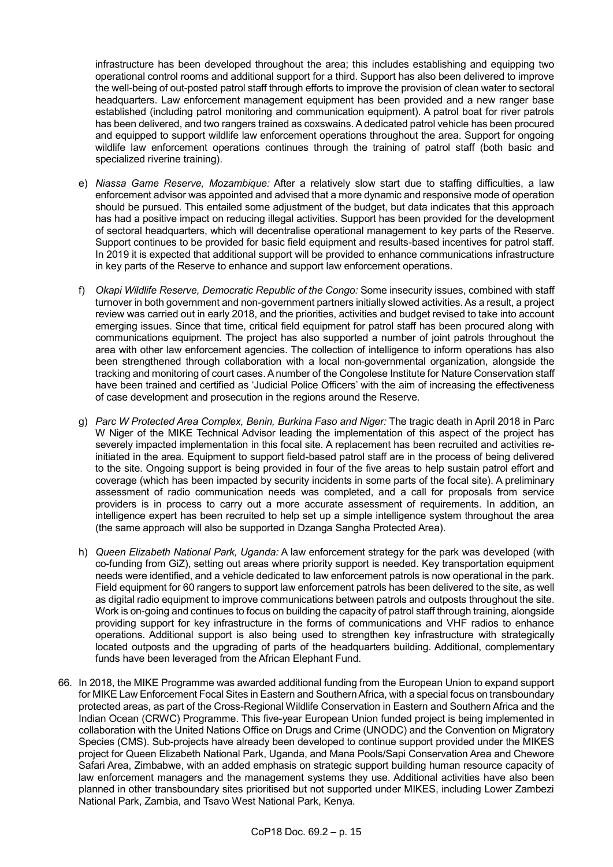infrastructure has been developed throughout the area; this includes establishing and equipping two operational control rooms and additional support for a third. Support has also been delivered to improve the well-being of out-posted patrol staff through efforts to improve the provision of clean water to sectoral headquarters. Law enforcement management equipment has been provided and a new ranger base established (including patrol monitoring and communication equipment). A patrol boat for river patrols has been delivered, and two rangers trained as coxswains. A dedicated patrol vehicle has been procured and equipped to support wildlife law enforcement operations throughout the area. Support for ongoing wildlife law enforcement operations continues through the training of patrol staff (both basic and specialized riverine training).

- e) *Niassa Game Reserve, Mozambique:* After a relatively slow start due to staffing difficulties, a law enforcement advisor was appointed and advised that a more dynamic and responsive mode of operation should be pursued. This entailed some adjustment of the budget, but data indicates that this approach has had a positive impact on reducing illegal activities. Support has been provided for the development of sectoral headquarters, which will decentralise operational management to key parts of the Reserve. Support continues to be provided for basic field equipment and results-based incentives for patrol staff. In 2019 it is expected that additional support will be provided to enhance communications infrastructure in key parts of the Reserve to enhance and support law enforcement operations.
- f) *Okapi Wildlife Reserve, Democratic Republic of the Congo:* Some insecurity issues, combined with staff turnover in both government and non-government partners initially slowed activities. As a result, a project review was carried out in early 2018, and the priorities, activities and budget revised to take into account emerging issues. Since that time, critical field equipment for patrol staff has been procured along with communications equipment. The project has also supported a number of joint patrols throughout the area with other law enforcement agencies. The collection of intelligence to inform operations has also been strengthened through collaboration with a local non-governmental organization, alongside the tracking and monitoring of court cases. A number of the Congolese Institute for Nature Conservation staff have been trained and certified as 'Judicial Police Officers' with the aim of increasing the effectiveness of case development and prosecution in the regions around the Reserve.
- g) *Parc W Protected Area Complex, Benin, Burkina Faso and Niger:* The tragic death in April 2018 in Parc W Niger of the MIKE Technical Advisor leading the implementation of this aspect of the project has severely impacted implementation in this focal site. A replacement has been recruited and activities reinitiated in the area. Equipment to support field-based patrol staff are in the process of being delivered to the site. Ongoing support is being provided in four of the five areas to help sustain patrol effort and coverage (which has been impacted by security incidents in some parts of the focal site). A preliminary assessment of radio communication needs was completed, and a call for proposals from service providers is in process to carry out a more accurate assessment of requirements. In addition, an intelligence expert has been recruited to help set up a simple intelligence system throughout the area (the same approach will also be supported in Dzanga Sangha Protected Area).
- h) *Queen Elizabeth National Park, Uganda:* A law enforcement strategy for the park was developed (with co-funding from GiZ), setting out areas where priority support is needed. Key transportation equipment needs were identified, and a vehicle dedicated to law enforcement patrols is now operational in the park. Field equipment for 60 rangers to support law enforcement patrols has been delivered to the site, as well as digital radio equipment to improve communications between patrols and outposts throughout the site. Work is on-going and continues to focus on building the capacity of patrol staff through training, alongside providing support for key infrastructure in the forms of communications and VHF radios to enhance operations. Additional support is also being used to strengthen key infrastructure with strategically located outposts and the upgrading of parts of the headquarters building. Additional, complementary funds have been leveraged from the African Elephant Fund.
- 66. In 2018, the MIKE Programme was awarded additional funding from the European Union to expand support for MIKE Law Enforcement Focal Sites in Eastern and Southern Africa, with a special focus on transboundary protected areas, as part of the Cross-Regional Wildlife Conservation in Eastern and Southern Africa and the Indian Ocean (CRWC) Programme. This five-year European Union funded project is being implemented in collaboration with the United Nations Office on Drugs and Crime (UNODC) and the Convention on Migratory Species (CMS). Sub-projects have already been developed to continue support provided under the MIKES project for Queen Elizabeth National Park, Uganda, and Mana Pools/Sapi Conservation Area and Chewore Safari Area, Zimbabwe, with an added emphasis on strategic support building human resource capacity of law enforcement managers and the management systems they use. Additional activities have also been planned in other transboundary sites prioritised but not supported under MIKES, including Lower Zambezi National Park, Zambia, and Tsavo West National Park, Kenya.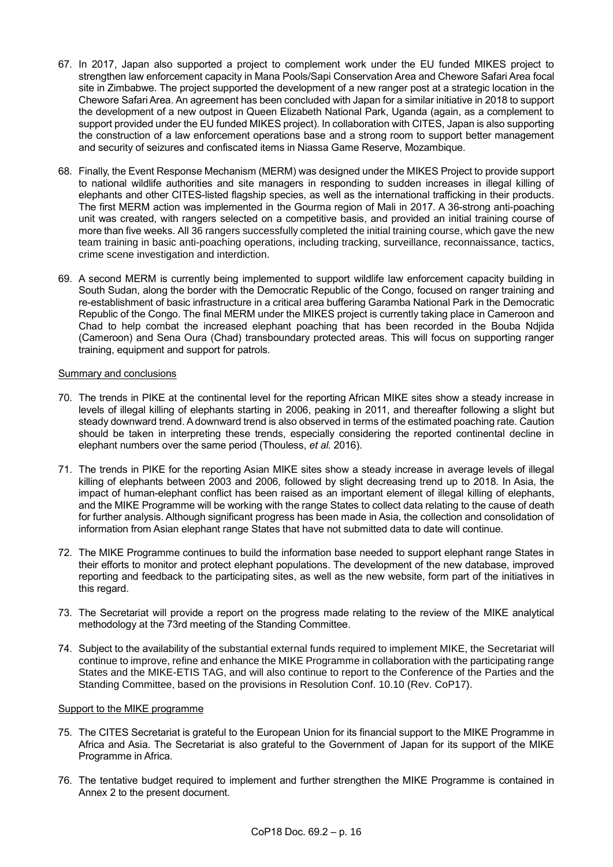- 67. In 2017, Japan also supported a project to complement work under the EU funded MIKES project to strengthen law enforcement capacity in Mana Pools/Sapi Conservation Area and Chewore Safari Area focal site in Zimbabwe. The project supported the development of a new ranger post at a strategic location in the Chewore Safari Area. An agreement has been concluded with Japan for a similar initiative in 2018 to support the development of a new outpost in Queen Elizabeth National Park, Uganda (again, as a complement to support provided under the EU funded MIKES project). In collaboration with CITES, Japan is also supporting the construction of a law enforcement operations base and a strong room to support better management and security of seizures and confiscated items in Niassa Game Reserve, Mozambique.
- 68. Finally, the Event Response Mechanism (MERM) was designed under the MIKES Project to provide support to national wildlife authorities and site managers in responding to sudden increases in illegal killing of elephants and other CITES-listed flagship species, as well as the international trafficking in their products. The first MERM action was implemented in the Gourma region of Mali in 2017. A 36-strong anti-poaching unit was created, with rangers selected on a competitive basis, and provided an initial training course of more than five weeks. All 36 rangers successfully completed the initial training course, which gave the new team training in basic anti-poaching operations, including tracking, surveillance, reconnaissance, tactics, crime scene investigation and interdiction.
- 69. A second MERM is currently being implemented to support wildlife law enforcement capacity building in South Sudan, along the border with the Democratic Republic of the Congo, focused on ranger training and re-establishment of basic infrastructure in a critical area buffering Garamba National Park in the Democratic Republic of the Congo. The final MERM under the MIKES project is currently taking place in Cameroon and Chad to help combat the increased elephant poaching that has been recorded in the Bouba Ndjida (Cameroon) and Sena Oura (Chad) transboundary protected areas. This will focus on supporting ranger training, equipment and support for patrols.

### Summary and conclusions

- 70. The trends in PIKE at the continental level for the reporting African MIKE sites show a steady increase in levels of illegal killing of elephants starting in 2006, peaking in 2011, and thereafter following a slight but steady downward trend. A downward trend is also observed in terms of the estimated poaching rate. Caution should be taken in interpreting these trends, especially considering the reported continental decline in elephant numbers over the same period (Thouless, *et al.* 2016).
- 71. The trends in PIKE for the reporting Asian MIKE sites show a steady increase in average levels of illegal killing of elephants between 2003 and 2006, followed by slight decreasing trend up to 2018. In Asia, the impact of human-elephant conflict has been raised as an important element of illegal killing of elephants, and the MIKE Programme will be working with the range States to collect data relating to the cause of death for further analysis. Although significant progress has been made in Asia, the collection and consolidation of information from Asian elephant range States that have not submitted data to date will continue.
- 72. The MIKE Programme continues to build the information base needed to support elephant range States in their efforts to monitor and protect elephant populations. The development of the new database, improved reporting and feedback to the participating sites, as well as the new website, form part of the initiatives in this regard.
- 73. The Secretariat will provide a report on the progress made relating to the review of the MIKE analytical methodology at the 73rd meeting of the Standing Committee.
- 74. Subject to the availability of the substantial external funds required to implement MIKE, the Secretariat will continue to improve, refine and enhance the MIKE Programme in collaboration with the participating range States and the MIKE-ETIS TAG, and will also continue to report to the Conference of the Parties and the Standing Committee, based on the provisions in Resolution Conf. 10.10 (Rev. CoP17).

# Support to the MIKE programme

- 75. The CITES Secretariat is grateful to the European Union for its financial support to the MIKE Programme in Africa and Asia. The Secretariat is also grateful to the Government of Japan for its support of the MIKE Programme in Africa.
- 76. The tentative budget required to implement and further strengthen the MIKE Programme is contained in Annex 2 to the present document.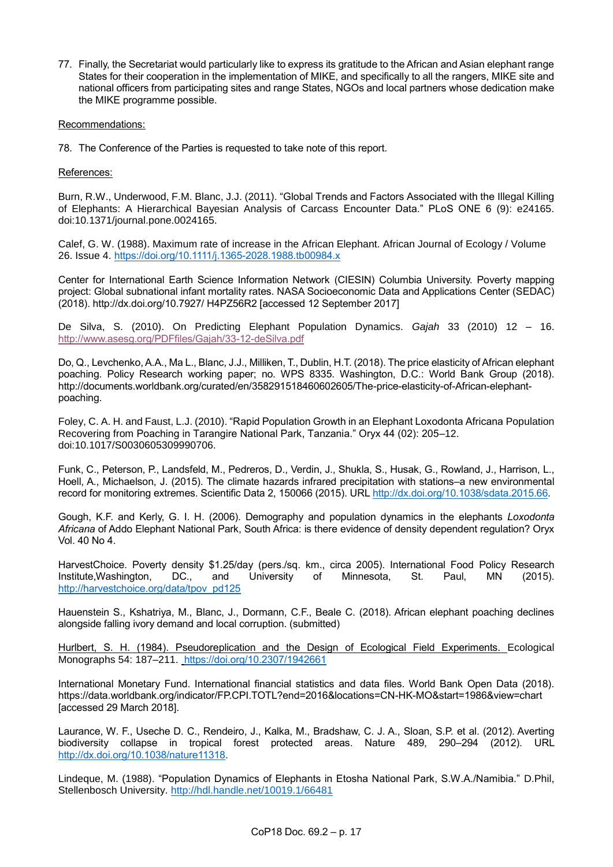77. Finally, the Secretariat would particularly like to express its gratitude to the African and Asian elephant range States for their cooperation in the implementation of MIKE, and specifically to all the rangers, MIKE site and national officers from participating sites and range States, NGOs and local partners whose dedication make the MIKE programme possible.

## Recommendations:

78. The Conference of the Parties is requested to take note of this report.

## References:

Burn, R.W., Underwood, F.M. Blanc, J.J. (2011). "Global Trends and Factors Associated with the Illegal Killing of Elephants: A Hierarchical Bayesian Analysis of Carcass Encounter Data." PLoS ONE 6 (9): e24165. doi:10.1371/journal.pone.0024165.

Calef, G. W. (1988). Maximum rate of increase in the African Elephant. African Journal of Ecology / Volume 26. Issue 4.<https://doi.org/10.1111/j.1365-2028.1988.tb00984.x>

Center for International Earth Science Information Network (CIESIN) Columbia University. Poverty mapping project: Global subnational infant mortality rates. NASA Socioeconomic Data and Applications Center (SEDAC) (2018). http://dx.doi.org/10.7927/ H4PZ56R2 [accessed 12 September 2017]

De Silva, S. (2010). On Predicting Elephant Population Dynamics. *Gajah* 33 (2010) 12 – 16. <http://www.asesg.org/PDFfiles/Gajah/33-12-deSilva.pdf>

Do, Q., Levchenko, A.A., Ma L., Blanc, J.J., Milliken, T., Dublin, H.T. (2018). The price elasticity of African elephant poaching. Policy Research working paper; no. WPS 8335. Washington, D.C.: World Bank Group (2018). http://documents.worldbank.org/curated/en/358291518460602605/The-price-elasticity-of-African-elephantpoaching.

Foley, C. A. H. and Faust, L.J. (2010). "Rapid Population Growth in an Elephant Loxodonta Africana Population Recovering from Poaching in Tarangire National Park, Tanzania." Oryx 44 (02): 205–12. doi:10.1017/S0030605309990706.

Funk, C., Peterson, P., Landsfeld, M., Pedreros, D., Verdin, J., Shukla, S., Husak, G., Rowland, J., Harrison, L., Hoell, A., Michaelson, J. (2015). The climate hazards infrared precipitation with stations–a new environmental record for monitoring extremes. Scientific Data 2, 150066 (2015). URL [http://dx.doi.org/10.1038/sdata.2015.66.](http://dx.doi.org/10.1038/sdata.2015.66)

Gough, K.F. and Kerly, G. I. H. (2006). Demography and population dynamics in the elephants *Loxodonta Africana* of Addo Elephant National Park, South Africa: is there evidence of density dependent regulation? Oryx Vol. 40 No 4.

HarvestChoice. Poverty density \$1.25/day (pers./sq. km., circa 2005). International Food Policy Research Institute,Washington, DC., and University of Minnesota, St. Paul, MN (2015). [http://harvestchoice.org/data/tpov\\_pd125](http://harvestchoice.org/data/tpov_pd125)

Hauenstein S., Kshatriya, M., Blanc, J., Dormann, C.F., Beale C. (2018). African elephant poaching declines alongside falling ivory demand and local corruption. (submitted)

Hurlbert, S. H. (1984). Pseudoreplication and the Design of Ecological Field Experiments. Ecological Monographs 54: 187–211. https://doi.org/10.2307/1942661

International Monetary Fund. International financial statistics and data files. World Bank Open Data (2018). https://data.worldbank.org/indicator/FP.CPI.TOTL?end=2016&locations=CN-HK-MO&start=1986&view=chart [accessed 29 March 2018].

Laurance, W. F., Useche D. C., Rendeiro, J., Kalka, M., Bradshaw, C. J. A., Sloan, S.P. et al. (2012). Averting biodiversity collapse in tropical forest protected areas. Nature 489, 290–294 (2012). URL [http://dx.doi.org/10.1038/nature11318.](http://dx.doi.org/10.1038/nature11318)

Lindeque, M. (1988). "Population Dynamics of Elephants in Etosha National Park, S.W.A./Namibia." D.Phil, Stellenbosch University.<http://hdl.handle.net/10019.1/66481>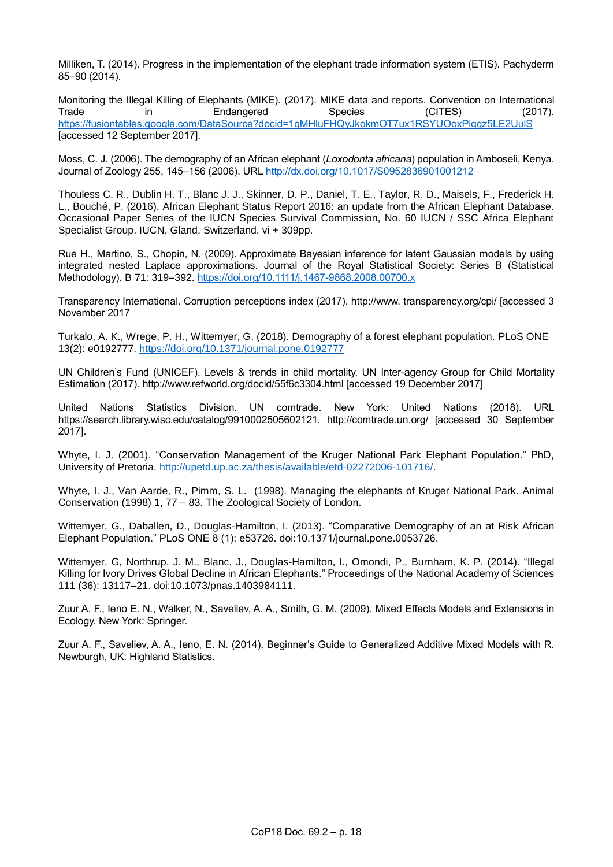Milliken, T. (2014). Progress in the implementation of the elephant trade information system (ETIS). Pachyderm 85–90 (2014).

Monitoring the Illegal Killing of Elephants (MIKE). (2017). MIKE data and reports. Convention on International<br>Trade in Endangered Species (CITES) (2017). Trade in Endangered Species (CITES) (2017). <https://fusiontables.google.com/DataSource?docid=1gMHluFHQyJkokmOT7ux1RSYUOoxPigqz5LE2UulS> [accessed 12 September 2017].

Moss, C. J. (2006). The demography of an African elephant (*Loxodonta africana*) population in Amboseli, Kenya. Journal of Zoology 255, 145–156 (2006). URL<http://dx.doi.org/10.1017/S0952836901001212>

Thouless C. R., Dublin H. T., Blanc J. J., Skinner, D. P., Daniel, T. E., Taylor, R. D., Maisels, F., Frederick H. L., Bouché, P. (2016). African Elephant Status Report 2016: an update from the African Elephant Database. Occasional Paper Series of the IUCN Species Survival Commission, No. 60 IUCN / SSC Africa Elephant Specialist Group. IUCN, Gland, Switzerland. vi + 309pp.

Rue H., Martino, S., Chopin, N. (2009). Approximate Bayesian inference for latent Gaussian models by using integrated nested Laplace approximations. Journal of the Royal Statistical Society: Series B (Statistical Methodology). B 71: 319–392. <https://doi.org/10.1111/j.1467-9868.2008.00700.x>

Transparency International. Corruption perceptions index (2017). http://www. transparency.org/cpi/ [accessed 3 November 2017

Turkalo, A. K., Wrege, P. H., Wittemyer, G. (2018). Demography of a forest elephant population. PLoS ONE 13(2): e0192777.<https://doi.org/10.1371/journal.pone.0192777>

UN Children's Fund (UNICEF). Levels & trends in child mortality. UN Inter-agency Group for Child Mortality Estimation (2017). http://www.refworld.org/docid/55f6c3304.html [accessed 19 December 2017]

United Nations Statistics Division. UN comtrade. New York: United Nations (2018). URL https://search.library.wisc.edu/catalog/9910002505602121. http://comtrade.un.org/ [accessed 30 September 2017].

Whyte, I. J. (2001). "Conservation Management of the Kruger National Park Elephant Population." PhD, University of Pretoria. [http://upetd.up.ac.za/thesis/available/etd-02272006-101716/.](http://upetd.up.ac.za/thesis/available/etd-02272006-101716/)

Whyte, I. J., Van Aarde, R., Pimm, S. L. (1998). Managing the elephants of Kruger National Park. Animal Conservation (1998) 1, 77 – 83. The Zoological Society of London.

Wittemyer, G., Daballen, D., Douglas-Hamilton, I. (2013). "Comparative Demography of an at Risk African Elephant Population." PLoS ONE 8 (1): e53726. doi:10.1371/journal.pone.0053726.

Wittemyer, G, Northrup, J. M., Blanc, J., Douglas-Hamilton, I., Omondi, P., Burnham, K. P. (2014). "Illegal Killing for Ivory Drives Global Decline in African Elephants." Proceedings of the National Academy of Sciences 111 (36): 13117–21. doi:10.1073/pnas.1403984111.

Zuur A. F., Ieno E. N., Walker, N., Saveliev, A. A., Smith, G. M. (2009). Mixed Effects Models and Extensions in Ecology. New York: Springer.

Zuur A. F., Saveliev, A. A., Ieno, E. N. (2014). Beginner's Guide to Generalized Additive Mixed Models with R. Newburgh, UK: Highland Statistics.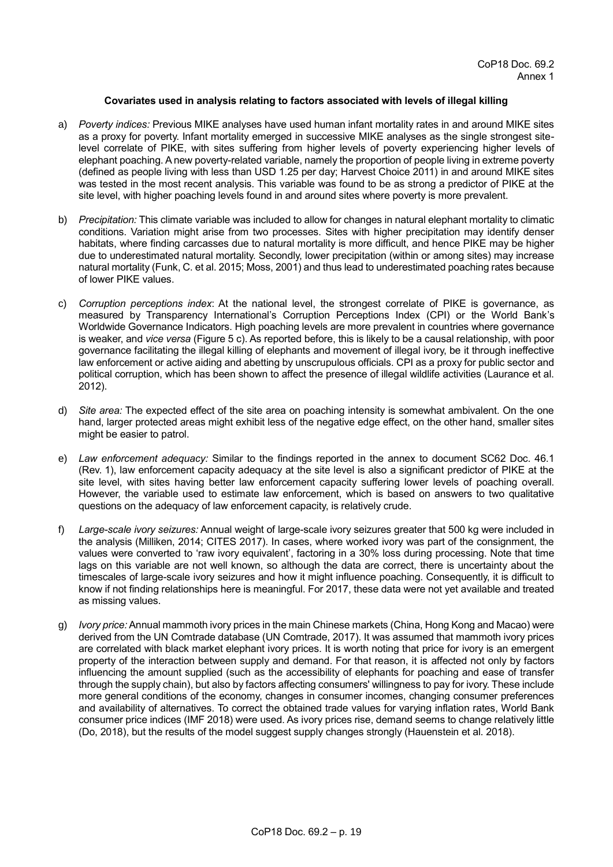### **Covariates used in analysis relating to factors associated with levels of illegal killing**

- a) *Poverty indices:* Previous MIKE analyses have used human infant mortality rates in and around MIKE sites as a proxy for poverty. Infant mortality emerged in successive MIKE analyses as the single strongest sitelevel correlate of PIKE, with sites suffering from higher levels of poverty experiencing higher levels of elephant poaching. A new poverty-related variable, namely the proportion of people living in extreme poverty (defined as people living with less than USD 1.25 per day; Harvest Choice 2011) in and around MIKE sites was tested in the most recent analysis. This variable was found to be as strong a predictor of PIKE at the site level, with higher poaching levels found in and around sites where poverty is more prevalent.
- b) *Precipitation:* This climate variable was included to allow for changes in natural elephant mortality to climatic conditions. Variation might arise from two processes. Sites with higher precipitation may identify denser habitats, where finding carcasses due to natural mortality is more difficult, and hence PIKE may be higher due to underestimated natural mortality. Secondly, lower precipitation (within or among sites) may increase natural mortality (Funk, C. et al. 2015; Moss, 2001) and thus lead to underestimated poaching rates because of lower PIKE values.
- c) *Corruption perceptions index*: At the national level, the strongest correlate of PIKE is governance, as measured by Transparency International's Corruption Perceptions Index (CPI) or the World Bank's Worldwide Governance Indicators. High poaching levels are more prevalent in countries where governance is weaker, and *vice versa* (Figure 5 c). As reported before, this is likely to be a causal relationship, with poor governance facilitating the illegal killing of elephants and movement of illegal ivory, be it through ineffective law enforcement or active aiding and abetting by unscrupulous officials. CPI as a proxy for public sector and political corruption, which has been shown to affect the presence of illegal wildlife activities (Laurance et al. 2012).
- d) *Site area:* The expected effect of the site area on poaching intensity is somewhat ambivalent. On the one hand, larger protected areas might exhibit less of the negative edge effect, on the other hand, smaller sites might be easier to patrol.
- e) *Law enforcement adequacy:* Similar to the findings reported in the annex to document SC62 Doc. 46.1 (Rev. 1), law enforcement capacity adequacy at the site level is also a significant predictor of PIKE at the site level, with sites having better law enforcement capacity suffering lower levels of poaching overall. However, the variable used to estimate law enforcement, which is based on answers to two qualitative questions on the adequacy of law enforcement capacity, is relatively crude.
- f) *Large-scale ivory seizures:* Annual weight of large-scale ivory seizures greater that 500 kg were included in the analysis (Milliken, 2014; CITES 2017). In cases, where worked ivory was part of the consignment, the values were converted to 'raw ivory equivalent', factoring in a 30% loss during processing. Note that time lags on this variable are not well known, so although the data are correct, there is uncertainty about the timescales of large-scale ivory seizures and how it might influence poaching. Consequently, it is difficult to know if not finding relationships here is meaningful. For 2017, these data were not yet available and treated as missing values.
- g) *Ivory price:* Annual mammoth ivory prices in the main Chinese markets (China, Hong Kong and Macao) were derived from the UN Comtrade database (UN Comtrade, 2017). It was assumed that mammoth ivory prices are correlated with black market elephant ivory prices. It is worth noting that price for ivory is an emergent property of the interaction between supply and demand. For that reason, it is affected not only by factors influencing the amount supplied (such as the accessibility of elephants for poaching and ease of transfer through the supply chain), but also by factors affecting consumers' willingness to pay for ivory. These include more general conditions of the economy, changes in consumer incomes, changing consumer preferences and availability of alternatives. To correct the obtained trade values for varying inflation rates, World Bank consumer price indices (IMF 2018) were used. As ivory prices rise, demand seems to change relatively little (Do, 2018), but the results of the model suggest supply changes strongly (Hauenstein et al. 2018).